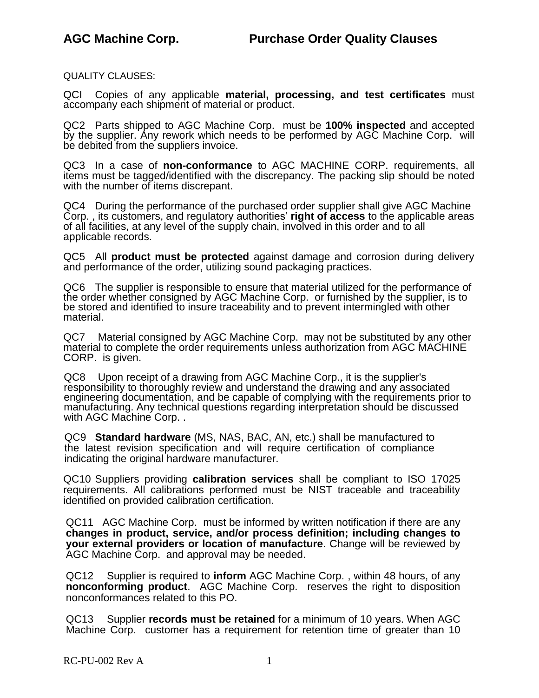QUALITY CLAUSES:

QCI Copies of any applicable **material, processing, and test certificates** must accompany each shipment of material or product.

QC2 Parts shipped to AGC Machine Corp. must be **100% inspected** and accepted by the supplier. Any rework which needs to be performed by AGC Machine Corp. will be debited from the suppliers invoice.

QC3 In a case of **non-conformance** to AGC MACHINE CORP. requirements, all items must be tagged/identified with the discrepancy. The packing slip should be noted with the number of items discrepant.

QC4 During the performance of the purchased order supplier shall give AGC Machine Corp. , its customers, and regulatory authorities' **right of access** to the applicable areas of all facilities, at any level of the supply chain, involved in this order and to all applicable records.

QC5 All **product must be protected** against damage and corrosion during delivery and performance of the order, utilizing sound packaging practices.

QC6 The supplier is responsible to ensure that material utilized for the performance of the order whether consigned by AGC Machine Corp. or furnished by the supplier, is to be stored and identified to insure traceability and to prevent intermingled with other material.

QC7 Material consigned by AGC Machine Corp. may not be substituted by any other material to complete the order requirements unless authorization from AGC MACHINE CORP. is given.

QC8 Upon receipt of a drawing from AGC Machine Corp., it is the supplier's responsibility to thoroughly review and understand the drawing and any associated engineering documentation, and be capable of complying with the requirements prior to manufacturing. Any technical questions regarding interpretation should be discussed with AGC Machine Corp. .

QC9 **Standard hardware** (MS, NAS, BAC, AN, etc.) shall be manufactured to the latest revision specification and will require certification of compliance indicating the original hardware manufacturer.

QC10 Suppliers providing **calibration services** shall be compliant to ISO 17025 requirements. All calibrations performed must be NIST traceable and traceability identified on provided calibration certification.

QC11 AGC Machine Corp. must be informed by written notification if there are any **changes in product, service, and/or process definition; including changes to your external providers or location of manufacture**. Change will be reviewed by AGC Machine Corp. and approval may be needed.

QC12 Supplier is required to **inform** AGC Machine Corp. , within 48 hours, of any **nonconforming product**. AGC Machine Corp. reserves the right to disposition nonconformances related to this PO.

QC13 Supplier **records must be retained** for a minimum of 10 years. When AGC Machine Corp. customer has a requirement for retention time of greater than 10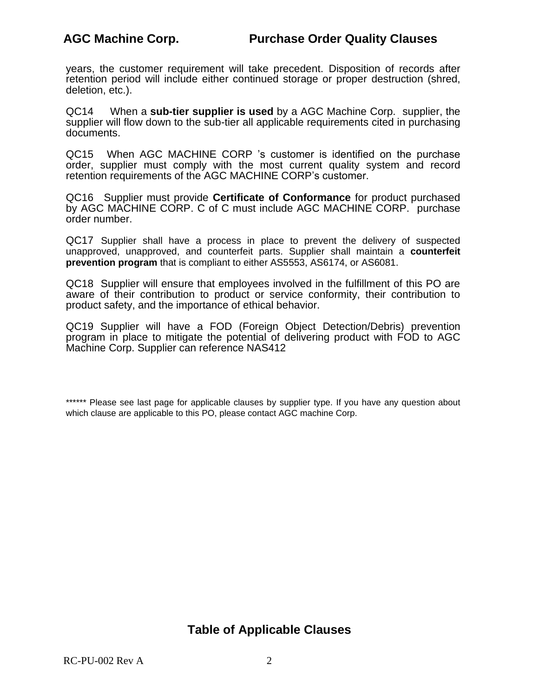years, the customer requirement will take precedent. Disposition of records after retention period will include either continued storage or proper destruction (shred, deletion, etc.).

QC14 When a **sub-tier supplier is used** by a AGC Machine Corp. supplier, the supplier will flow down to the sub-tier all applicable requirements cited in purchasing documents.

QC15 When AGC MACHINE CORP 's customer is identified on the purchase order, supplier must comply with the most current quality system and record retention requirements of the AGC MACHINE CORP's customer.

QC16 Supplier must provide **Certificate of Conformance** for product purchased by AGC MACHINE CORP. C of C must include AGC MACHINE CORP. purchase order number.

QC17 Supplier shall have a process in place to prevent the delivery of suspected unapproved, unapproved, and counterfeit parts. Supplier shall maintain a **counterfeit prevention program** that is compliant to either AS5553, AS6174, or AS6081.

QC18 Supplier will ensure that employees involved in the fulfillment of this PO are aware of their contribution to product or service conformity, their contribution to product safety, and the importance of ethical behavior.

QC19 Supplier will have a FOD (Foreign Object Detection/Debris) prevention program in place to mitigate the potential of delivering product with FOD to AGC Machine Corp. Supplier can reference NAS412

## **Table of Applicable Clauses**

<sup>\*\*\*\*\*\*</sup> Please see last page for applicable clauses by supplier type. If you have any question about which clause are applicable to this PO, please contact AGC machine Corp.